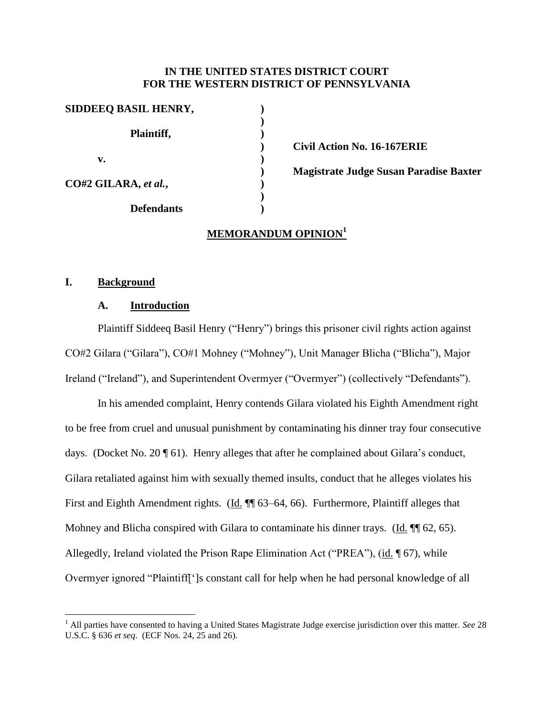## **IN THE UNITED STATES DISTRICT COURT FOR THE WESTERN DISTRICT OF PENNSYLVANIA**

| SIDDEEQ BASIL HENRY, |  |
|----------------------|--|
| Plaintiff,           |  |
| v.                   |  |
| CO#2 GILARA, et al., |  |
| <b>Defendants</b>    |  |

**) Civil Action No. 16-167ERIE**

**) Magistrate Judge Susan Paradise Baxter**

# **MEMORANDUM OPINION<sup>1</sup>**

### **I. Background**

 $\overline{a}$ 

## **A. Introduction**

Plaintiff Siddeeq Basil Henry ("Henry") brings this prisoner civil rights action against CO#2 Gilara ("Gilara"), CO#1 Mohney ("Mohney"), Unit Manager Blicha ("Blicha"), Major Ireland ("Ireland"), and Superintendent Overmyer ("Overmyer") (collectively "Defendants").

In his amended complaint, Henry contends Gilara violated his Eighth Amendment right to be free from cruel and unusual punishment by contaminating his dinner tray four consecutive days. (Docket No. 20 ¶ 61). Henry alleges that after he complained about Gilara's conduct, Gilara retaliated against him with sexually themed insults, conduct that he alleges violates his First and Eighth Amendment rights. (Id. ¶ 63–64, 66). Furthermore, Plaintiff alleges that Mohney and Blicha conspired with Gilara to contaminate his dinner trays. (Id.  $\P$  62, 65). Allegedly, Ireland violated the Prison Rape Elimination Act ("PREA"), (id. ¶ 67), while Overmyer ignored "Plaintiff[']s constant call for help when he had personal knowledge of all

<sup>1</sup> All parties have consented to having a United States Magistrate Judge exercise jurisdiction over this matter. *See* 28 U.S.C. § 636 *et seq*. (ECF Nos. 24, 25 and 26).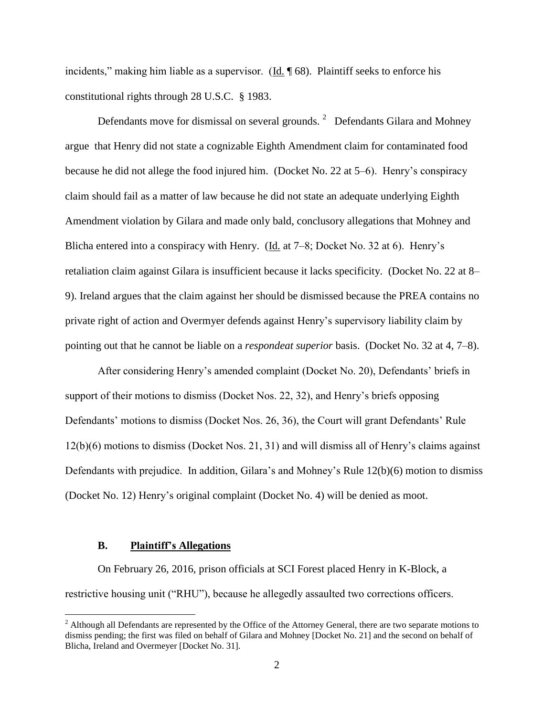incidents," making him liable as a supervisor. (Id. ¶ 68). Plaintiff seeks to enforce his constitutional rights through 28 U.S.C. § 1983.

Defendants move for dismissal on several grounds.  $2$  Defendants Gilara and Mohney argue that Henry did not state a cognizable Eighth Amendment claim for contaminated food because he did not allege the food injured him. (Docket No. 22 at 5–6). Henry's conspiracy claim should fail as a matter of law because he did not state an adequate underlying Eighth Amendment violation by Gilara and made only bald, conclusory allegations that Mohney and Blicha entered into a conspiracy with Henry. (Id. at 7–8; Docket No. 32 at 6). Henry's retaliation claim against Gilara is insufficient because it lacks specificity. (Docket No. 22 at 8– 9). Ireland argues that the claim against her should be dismissed because the PREA contains no private right of action and Overmyer defends against Henry's supervisory liability claim by pointing out that he cannot be liable on a *respondeat superior* basis. (Docket No. 32 at 4, 7–8).

After considering Henry's amended complaint (Docket No. 20), Defendants' briefs in support of their motions to dismiss (Docket Nos. 22, 32), and Henry's briefs opposing Defendants' motions to dismiss (Docket Nos. 26, 36), the Court will grant Defendants' Rule 12(b)(6) motions to dismiss (Docket Nos. 21, 31) and will dismiss all of Henry's claims against Defendants with prejudice. In addition, Gilara's and Mohney's Rule 12(b)(6) motion to dismiss (Docket No. 12) Henry's original complaint (Docket No. 4) will be denied as moot.

#### **B. Plaintiff's Allegations**

 $\overline{a}$ 

On February 26, 2016, prison officials at SCI Forest placed Henry in K-Block, a restrictive housing unit ("RHU"), because he allegedly assaulted two corrections officers.

 $<sup>2</sup>$  Although all Defendants are represented by the Office of the Attorney General, there are two separate motions to</sup> dismiss pending; the first was filed on behalf of Gilara and Mohney [Docket No. 21] and the second on behalf of Blicha, Ireland and Overmeyer [Docket No. 31].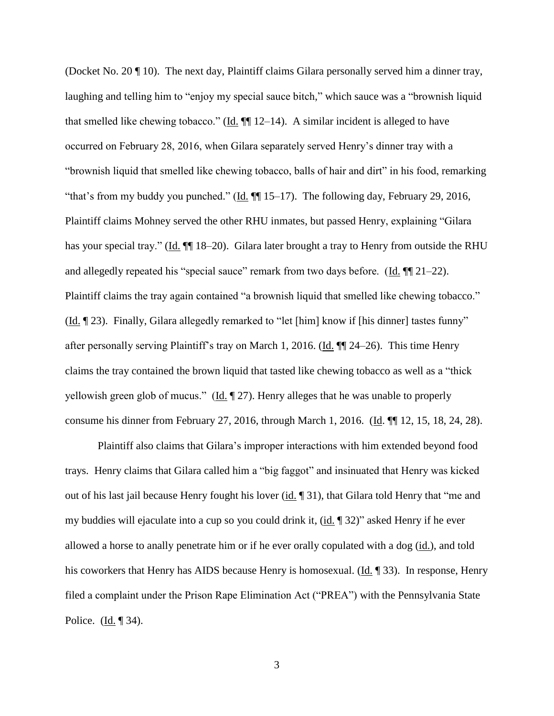(Docket No. 20 ¶ 10). The next day, Plaintiff claims Gilara personally served him a dinner tray, laughing and telling him to "enjoy my special sauce bitch," which sauce was a "brownish liquid that smelled like chewing tobacco." (Id. ¶¶ 12–14). A similar incident is alleged to have occurred on February 28, 2016, when Gilara separately served Henry's dinner tray with a "brownish liquid that smelled like chewing tobacco, balls of hair and dirt" in his food, remarking "that's from my buddy you punched." (Id. ¶¶ 15–17). The following day, February 29, 2016, Plaintiff claims Mohney served the other RHU inmates, but passed Henry, explaining "Gilara has your special tray." (Id.  $\P$  18–20). Gilara later brought a tray to Henry from outside the RHU and allegedly repeated his "special sauce" remark from two days before. (Id. ¶¶ 21–22). Plaintiff claims the tray again contained "a brownish liquid that smelled like chewing tobacco." (Id. ¶ 23). Finally, Gilara allegedly remarked to "let [him] know if [his dinner] tastes funny" after personally serving Plaintiff's tray on March 1, 2016. (Id. ¶¶ 24–26). This time Henry claims the tray contained the brown liquid that tasted like chewing tobacco as well as a "thick yellowish green glob of mucus." (Id. 127). Henry alleges that he was unable to properly consume his dinner from February 27, 2016, through March 1, 2016. (Id. ¶¶ 12, 15, 18, 24, 28).

Plaintiff also claims that Gilara's improper interactions with him extended beyond food trays. Henry claims that Gilara called him a "big faggot" and insinuated that Henry was kicked out of his last jail because Henry fought his lover (id. ¶ 31), that Gilara told Henry that "me and my buddies will ejaculate into a cup so you could drink it, (id. 1932)" asked Henry if he ever allowed a horse to anally penetrate him or if he ever orally copulated with a dog (id.), and told his coworkers that Henry has AIDS because Henry is homosexual. (Id. ¶ 33). In response, Henry filed a complaint under the Prison Rape Elimination Act ("PREA") with the Pennsylvania State Police. (Id. ¶ 34).

3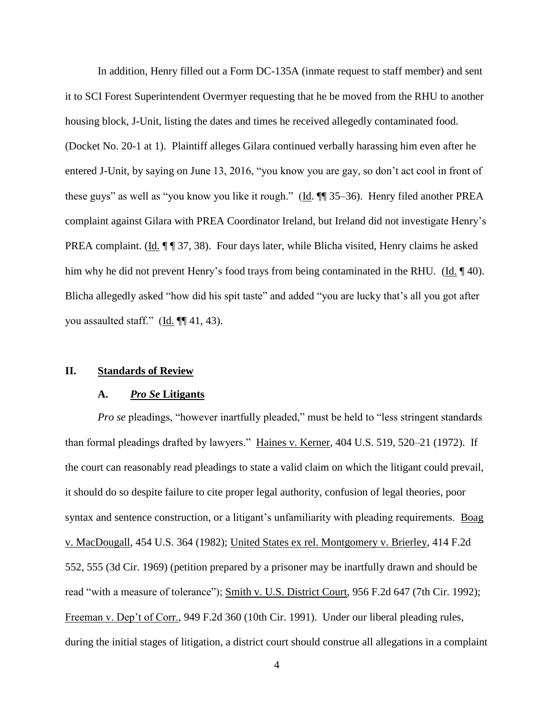In addition, Henry filled out a Form DC-135A (inmate request to staff member) and sent it to SCI Forest Superintendent Overmyer requesting that he be moved from the RHU to another housing block, J-Unit, listing the dates and times he received allegedly contaminated food. (Docket No. 20-1 at 1). Plaintiff alleges Gilara continued verbally harassing him even after he entered J-Unit, by saying on June 13, 2016, "you know you are gay, so don't act cool in front of these guys" as well as "you know you like it rough." (Id. ¶ 35–36). Henry filed another PREA complaint against Gilara with PREA Coordinator Ireland, but Ireland did not investigate Henry's PREA complaint. (Id.  $\P$   $\P$  37, 38). Four days later, while Blicha visited, Henry claims he asked him why he did not prevent Henry's food trays from being contaminated in the RHU. (Id. 140). Blicha allegedly asked "how did his spit taste" and added "you are lucky that's all you got after you assaulted staff." (Id. ¶¶ 41, 43).

## **II. Standards of Review**

#### **A.** *Pro Se* **Litigants**

*Pro se* pleadings, "however inartfully pleaded," must be held to "less stringent standards than formal pleadings drafted by lawyers." Haines v. Kerner, 404 U.S. 519, 520–21 (1972). If the court can reasonably read pleadings to state a valid claim on which the litigant could prevail, it should do so despite failure to cite proper legal authority, confusion of legal theories, poor syntax and sentence construction, or a litigant's unfamiliarity with pleading requirements. Boag v. MacDougall, 454 U.S. 364 (1982); United States ex rel. Montgomery v. Brierley, 414 F.2d 552, 555 (3d Cir. 1969) (petition prepared by a prisoner may be inartfully drawn and should be read "with a measure of tolerance"); Smith v. U.S. District Court, 956 F.2d 647 (7th Cir. 1992); Freeman v. Dep't of Corr., 949 F.2d 360 (10th Cir. 1991). Under our liberal pleading rules, during the initial stages of litigation, a district court should construe all allegations in a complaint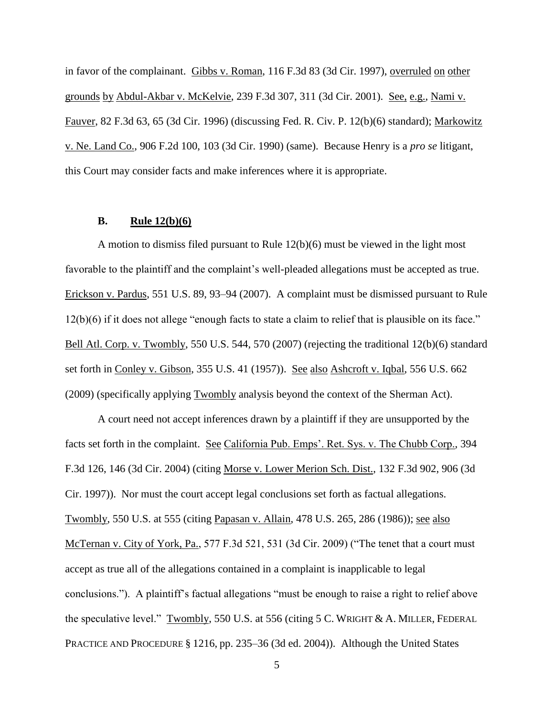in favor of the complainant. Gibbs v. Roman, 116 F.3d 83 (3d Cir. 1997), overruled on other grounds by Abdul-Akbar v. McKelvie, 239 F.3d 307, 311 (3d Cir. 2001). See, e.g., Nami v. Fauver, 82 F.3d 63, 65 (3d Cir. 1996) (discussing Fed. R. Civ. P. 12(b)(6) standard); Markowitz v. Ne. Land Co., 906 F.2d 100, 103 (3d Cir. 1990) (same). Because Henry is a *pro se* litigant, this Court may consider facts and make inferences where it is appropriate.

## **B. Rule 12(b)(6)**

A motion to dismiss filed pursuant to Rule 12(b)(6) must be viewed in the light most favorable to the plaintiff and the complaint's well-pleaded allegations must be accepted as true. Erickson v. Pardus, 551 U.S. 89, 93–94 (2007). A complaint must be dismissed pursuant to Rule 12(b)(6) if it does not allege "enough facts to state a claim to relief that is plausible on its face." Bell Atl. Corp. v. Twombly, 550 U.S. 544, 570 (2007) (rejecting the traditional 12(b)(6) standard set forth in Conley v. Gibson, 355 U.S. 41 (1957)). See also Ashcroft v. Iqbal, 556 U.S. 662 (2009) (specifically applying Twombly analysis beyond the context of the Sherman Act).

A court need not accept inferences drawn by a plaintiff if they are unsupported by the facts set forth in the complaint. See California Pub. Emps'. Ret. Sys. v. The Chubb Corp., 394 F.3d 126, 146 (3d Cir. 2004) (citing Morse v. Lower Merion Sch. Dist., 132 F.3d 902, 906 (3d Cir. 1997)). Nor must the court accept legal conclusions set forth as factual allegations. Twombly, 550 U.S. at 555 (citing Papasan v. Allain, 478 U.S. 265, 286 (1986)); see also McTernan v. City of York, Pa., 577 F.3d 521, 531 (3d Cir. 2009) ("The tenet that a court must accept as true all of the allegations contained in a complaint is inapplicable to legal conclusions."). A plaintiff's factual allegations "must be enough to raise a right to relief above the speculative level." Twombly, 550 U.S. at 556 (citing 5 C. WRIGHT & A. MILLER, FEDERAL PRACTICE AND PROCEDURE § 1216, pp. 235–36 (3d ed. 2004)). Although the United States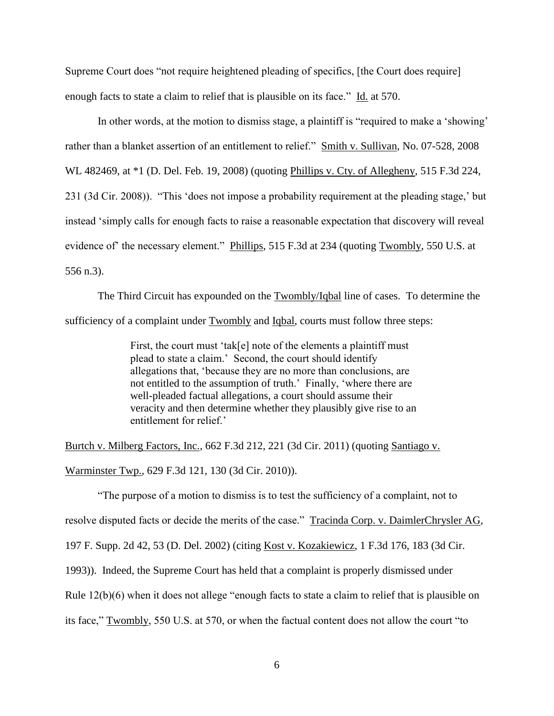Supreme Court does "not require heightened pleading of specifics, [the Court does require] enough facts to state a claim to relief that is plausible on its face." Id. at 570.

In other words, at the motion to dismiss stage, a plaintiff is "required to make a 'showing' rather than a blanket assertion of an entitlement to relief." Smith v. Sullivan, No. 07-528, 2008 WL 482469, at \*1 (D. Del. Feb. 19, 2008) (quoting Phillips v. Cty. of Allegheny, 515 F.3d 224, 231 (3d Cir. 2008)). "This 'does not impose a probability requirement at the pleading stage,' but instead 'simply calls for enough facts to raise a reasonable expectation that discovery will reveal evidence of the necessary element." Phillips, 515 F.3d at 234 (quoting Twombly, 550 U.S. at 556 n.3).

The Third Circuit has expounded on the **Twombly/Iqbal** line of cases. To determine the sufficiency of a complaint under Twombly and Iqbal, courts must follow three steps:

> First, the court must 'tak[e] note of the elements a plaintiff must plead to state a claim.' Second, the court should identify allegations that, 'because they are no more than conclusions, are not entitled to the assumption of truth.' Finally, 'where there are well-pleaded factual allegations, a court should assume their veracity and then determine whether they plausibly give rise to an entitlement for relief.'

Burtch v. Milberg Factors, Inc., 662 F.3d 212, 221 (3d Cir. 2011) (quoting Santiago v. Warminster Twp., 629 F.3d 121, 130 (3d Cir. 2010)).

"The purpose of a motion to dismiss is to test the sufficiency of a complaint, not to resolve disputed facts or decide the merits of the case." Tracinda Corp. v. DaimlerChrysler AG, 197 F. Supp. 2d 42, 53 (D. Del. 2002) (citing Kost v. Kozakiewicz, 1 F.3d 176, 183 (3d Cir. 1993)). Indeed, the Supreme Court has held that a complaint is properly dismissed under Rule 12(b)(6) when it does not allege "enough facts to state a claim to relief that is plausible on its face," Twombly, 550 U.S. at 570, or when the factual content does not allow the court "to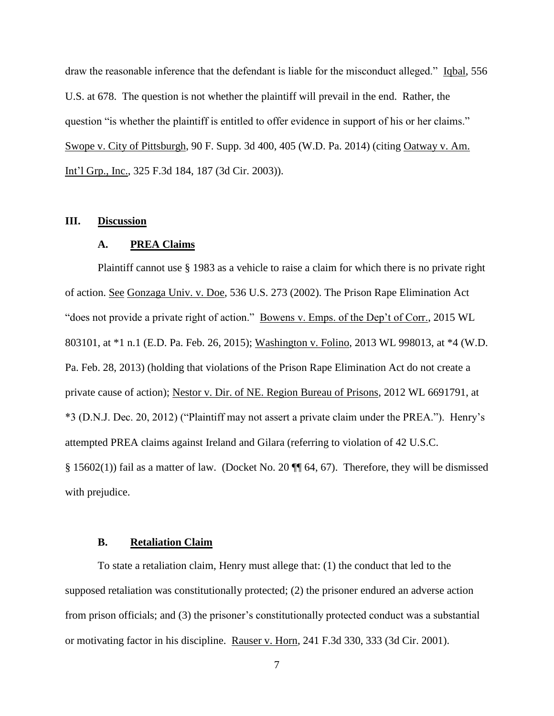draw the reasonable inference that the defendant is liable for the misconduct alleged." Iqbal, 556 U.S. at 678. The question is not whether the plaintiff will prevail in the end. Rather, the question "is whether the plaintiff is entitled to offer evidence in support of his or her claims." Swope v. City of Pittsburgh, 90 F. Supp. 3d 400, 405 (W.D. Pa. 2014) (citing Oatway v. Am. Int'l Grp., Inc., 325 F.3d 184, 187 (3d Cir. 2003)).

#### **III. Discussion**

#### **A. PREA Claims**

Plaintiff cannot use § 1983 as a vehicle to raise a claim for which there is no private right of action. See Gonzaga Univ. v. Doe, 536 U.S. 273 (2002). The Prison Rape Elimination Act "does not provide a private right of action." Bowens v. Emps. of the Dep't of Corr., 2015 WL 803101, at \*1 n.1 (E.D. Pa. Feb. 26, 2015); Washington v. Folino, 2013 WL 998013, at \*4 (W.D. Pa. Feb. 28, 2013) (holding that violations of the Prison Rape Elimination Act do not create a private cause of action); Nestor v. Dir. of NE. Region Bureau of Prisons, 2012 WL 6691791, at \*3 (D.N.J. Dec. 20, 2012) ("Plaintiff may not assert a private claim under the PREA."). Henry's attempted PREA claims against Ireland and Gilara (referring to violation of 42 U.S.C. § 15602(1)) fail as a matter of law. (Docket No. 20  $\P$  64, 67). Therefore, they will be dismissed with prejudice.

## **B. Retaliation Claim**

To state a retaliation claim, Henry must allege that: (1) the conduct that led to the supposed retaliation was constitutionally protected; (2) the prisoner endured an adverse action from prison officials; and (3) the prisoner's constitutionally protected conduct was a substantial or motivating factor in his discipline. Rauser v. Horn, 241 F.3d 330, 333 (3d Cir. 2001).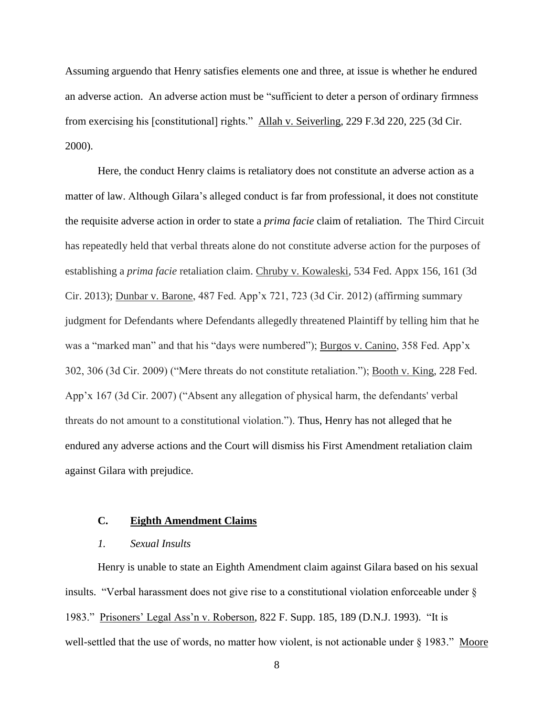Assuming arguendo that Henry satisfies elements one and three, at issue is whether he endured an adverse action. An adverse action must be "sufficient to deter a person of ordinary firmness from exercising his [constitutional] rights." Allah v. Seiverling, 229 F.3d 220, 225 (3d Cir. 2000).

Here, the conduct Henry claims is retaliatory does not constitute an adverse action as a matter of law. Although Gilara's alleged conduct is far from professional, it does not constitute the requisite adverse action in order to state a *prima facie* claim of retaliation. The Third Circuit has repeatedly held that verbal threats alone do not constitute adverse action for the purposes of establishing a *prima facie* retaliation claim. Chruby v. Kowaleski, 534 Fed. Appx 156, 161 (3d Cir. 2013); Dunbar v. Barone, 487 Fed. App'x 721, 723 (3d Cir. 2012) (affirming summary judgment for Defendants where Defendants allegedly threatened Plaintiff by telling him that he was a "marked man" and that his "days were numbered"); Burgos v. Canino, 358 Fed. App'x 302, 306 (3d Cir. 2009) ("Mere threats do not constitute retaliation."); Booth v. King, 228 Fed. App'x 167 (3d Cir. 2007) ("Absent any allegation of physical harm, the defendants' verbal threats do not amount to a constitutional violation."). Thus, Henry has not alleged that he endured any adverse actions and the Court will dismiss his First Amendment retaliation claim against Gilara with prejudice.

### **C. Eighth Amendment Claims**

## *1. Sexual Insults*

Henry is unable to state an Eighth Amendment claim against Gilara based on his sexual insults. "Verbal harassment does not give rise to a constitutional violation enforceable under § 1983." Prisoners' Legal Ass'n v. Roberson, 822 F. Supp. 185, 189 (D.N.J. 1993). "It is well-settled that the use of words, no matter how violent, is not actionable under § 1983." Moore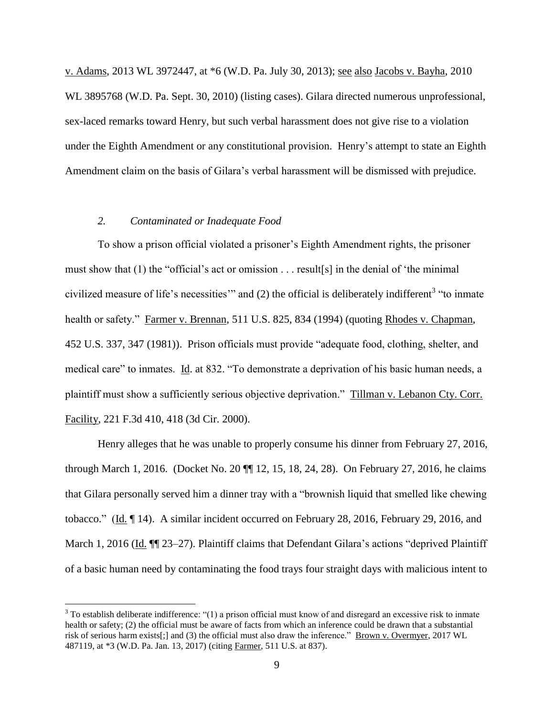v. Adams, 2013 WL 3972447, at \*6 (W.D. Pa. July 30, 2013); see also Jacobs v. Bayha, 2010 WL 3895768 (W.D. Pa. Sept. 30, 2010) (listing cases). Gilara directed numerous unprofessional, sex-laced remarks toward Henry, but such verbal harassment does not give rise to a violation under the Eighth Amendment or any constitutional provision. Henry's attempt to state an Eighth Amendment claim on the basis of Gilara's verbal harassment will be dismissed with prejudice.

## *2. Contaminated or Inadequate Food*

 $\overline{a}$ 

To show a prison official violated a prisoner's Eighth Amendment rights, the prisoner must show that (1) the "official's act or omission . . . result[s] in the denial of 'the minimal civilized measure of life's necessities" and  $(2)$  the official is deliberately indifferent<sup>3</sup> "to inmate health or safety." Farmer v. Brennan, 511 U.S. 825, 834 (1994) (quoting Rhodes v. Chapman, 452 U.S. 337, 347 (1981)). Prison officials must provide "adequate food, clothing, shelter, and medical care" to inmates. Id. at 832. "To demonstrate a deprivation of his basic human needs, a plaintiff must show a sufficiently serious objective deprivation." Tillman v. Lebanon Cty. Corr. Facility, 221 F.3d 410, 418 (3d Cir. 2000).

Henry alleges that he was unable to properly consume his dinner from February 27, 2016, through March 1, 2016. (Docket No. 20 ¶¶ 12, 15, 18, 24, 28). On February 27, 2016, he claims that Gilara personally served him a dinner tray with a "brownish liquid that smelled like chewing tobacco." (Id. ¶ 14). A similar incident occurred on February 28, 2016, February 29, 2016, and March 1, 2016 (Id.  $\P$  23–27). Plaintiff claims that Defendant Gilara's actions "deprived Plaintiff of a basic human need by contaminating the food trays four straight days with malicious intent to

 $3$  To establish deliberate indifference: "(1) a prison official must know of and disregard an excessive risk to inmate health or safety; (2) the official must be aware of facts from which an inference could be drawn that a substantial risk of serious harm exists[;] and (3) the official must also draw the inference." Brown v. Overmyer, 2017 WL 487119, at \*3 (W.D. Pa. Jan. 13, 2017) (citing Farmer, 511 U.S. at 837).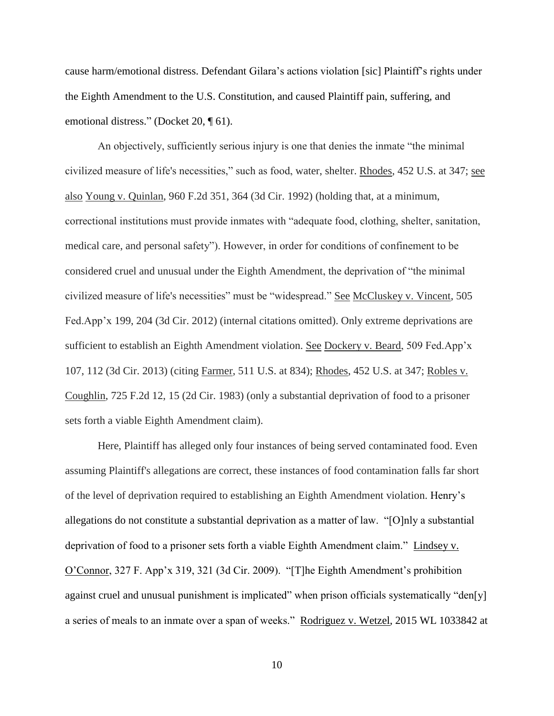cause harm/emotional distress. Defendant Gilara's actions violation [sic] Plaintiff's rights under the Eighth Amendment to the U.S. Constitution, and caused Plaintiff pain, suffering, and emotional distress." (Docket 20, ¶ 61).

 An objectively, sufficiently serious injury is one that denies the inmate "the minimal civilized measure of life's necessities," such as food, water, shelter. Rhodes, 452 U.S. at 347; see also Young v. Quinlan, 960 F.2d 351, 364 (3d Cir. 1992) (holding that, at a minimum, correctional institutions must provide inmates with "adequate food, clothing, shelter, sanitation, medical care, and personal safety"). However, in order for conditions of confinement to be considered cruel and unusual under the Eighth Amendment, the deprivation of "the minimal civilized measure of life's necessities" must be "widespread." See McCluskey v. Vincent, 505 Fed.App'x 199, 204 (3d Cir. 2012) (internal citations omitted). Only extreme deprivations are sufficient to establish an Eighth Amendment violation. See Dockery v. Beard, 509 Fed.App'x 107, 112 (3d Cir. 2013) (citing Farmer, 511 U.S. at 834); Rhodes, 452 U.S. at 347; Robles v. Coughlin, 725 F.2d 12, 15 (2d Cir. 1983) (only a substantial deprivation of food to a prisoner sets forth a viable Eighth Amendment claim).

Here, Plaintiff has alleged only four instances of being served contaminated food. Even assuming Plaintiff's allegations are correct, these instances of food contamination falls far short of the level of deprivation required to establishing an Eighth Amendment violation. Henry's allegations do not constitute a substantial deprivation as a matter of law. "[O]nly a substantial deprivation of food to a prisoner sets forth a viable Eighth Amendment claim." Lindsey v. O'Connor, 327 F. App'x 319, 321 (3d Cir. 2009). "[T]he Eighth Amendment's prohibition against cruel and unusual punishment is implicated" when prison officials systematically "den[y] a series of meals to an inmate over a span of weeks." Rodriguez v. Wetzel, 2015 WL 1033842 at

10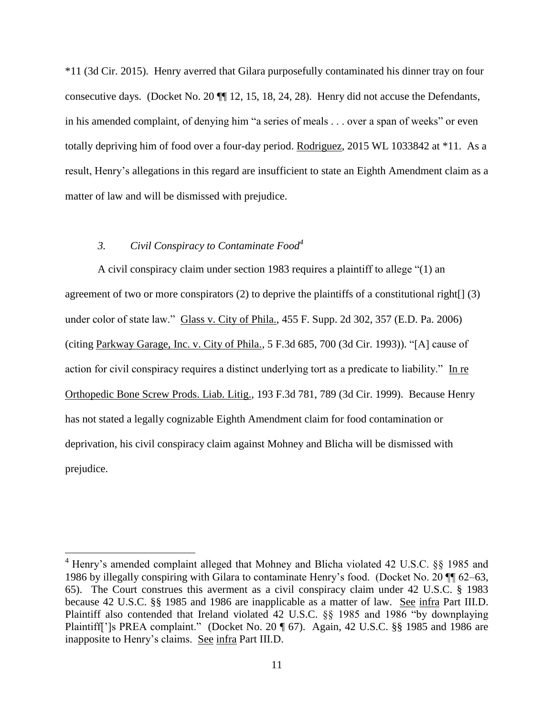\*11 (3d Cir. 2015). Henry averred that Gilara purposefully contaminated his dinner tray on four consecutive days. (Docket No. 20 ¶¶ 12, 15, 18, 24, 28). Henry did not accuse the Defendants, in his amended complaint, of denying him "a series of meals . . . over a span of weeks" or even totally depriving him of food over a four-day period. Rodriguez, 2015 WL 1033842 at \*11. As a result, Henry's allegations in this regard are insufficient to state an Eighth Amendment claim as a matter of law and will be dismissed with prejudice.

## *3. Civil Conspiracy to Contaminate Food<sup>4</sup>*

 $\overline{a}$ 

A civil conspiracy claim under section 1983 requires a plaintiff to allege "(1) an agreement of two or more conspirators  $(2)$  to deprive the plaintiffs of a constitutional right $[ (3)$ under color of state law." Glass v. City of Phila., 455 F. Supp. 2d 302, 357 (E.D. Pa. 2006) (citing Parkway Garage, Inc. v. City of Phila., 5 F.3d 685, 700 (3d Cir. 1993)). "[A] cause of action for civil conspiracy requires a distinct underlying tort as a predicate to liability." In re Orthopedic Bone Screw Prods. Liab. Litig., 193 F.3d 781, 789 (3d Cir. 1999). Because Henry has not stated a legally cognizable Eighth Amendment claim for food contamination or deprivation, his civil conspiracy claim against Mohney and Blicha will be dismissed with prejudice.

<sup>4</sup> Henry's amended complaint alleged that Mohney and Blicha violated 42 U.S.C. §§ 1985 and 1986 by illegally conspiring with Gilara to contaminate Henry's food. (Docket No. 20 ¶¶ 62–63, 65). The Court construes this averment as a civil conspiracy claim under 42 U.S.C. § 1983 because 42 U.S.C. §§ 1985 and 1986 are inapplicable as a matter of law. See infra Part III.D. Plaintiff also contended that Ireland violated 42 U.S.C. §§ 1985 and 1986 "by downplaying Plaintiff[']s PREA complaint." (Docket No. 20 ¶ 67). Again, 42 U.S.C. §§ 1985 and 1986 are inapposite to Henry's claims. See infra Part III.D.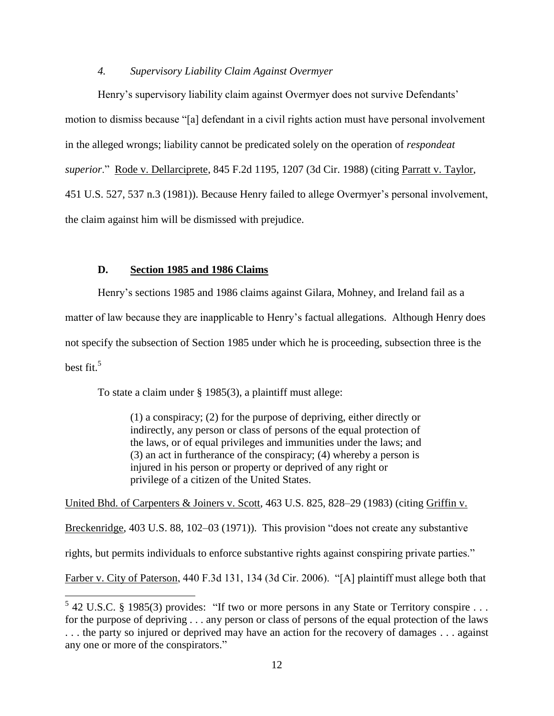## *4. Supervisory Liability Claim Against Overmyer*

Henry's supervisory liability claim against Overmyer does not survive Defendants' motion to dismiss because "[a] defendant in a civil rights action must have personal involvement in the alleged wrongs; liability cannot be predicated solely on the operation of *respondeat superior*." Rode v. Dellarciprete, 845 F.2d 1195, 1207 (3d Cir. 1988) (citing Parratt v. Taylor, 451 U.S. 527, 537 n.3 (1981)). Because Henry failed to allege Overmyer's personal involvement, the claim against him will be dismissed with prejudice.

## **D. Section 1985 and 1986 Claims**

Henry's sections 1985 and 1986 claims against Gilara, Mohney, and Ireland fail as a

matter of law because they are inapplicable to Henry's factual allegations. Although Henry does

not specify the subsection of Section 1985 under which he is proceeding, subsection three is the

best fit. $5$ 

 $\overline{a}$ 

To state a claim under § 1985(3), a plaintiff must allege:

(1) a conspiracy; (2) for the purpose of depriving, either directly or indirectly, any person or class of persons of the equal protection of the laws, or of equal privileges and immunities under the laws; and (3) an act in furtherance of the conspiracy; (4) whereby a person is injured in his person or property or deprived of any right or privilege of a citizen of the United States.

United Bhd. of Carpenters & Joiners v. Scott, 463 U.S. 825, 828–29 (1983) (citing Griffin v. Breckenridge, 403 U.S. 88, 102–03 (1971)). This provision "does not create any substantive rights, but permits individuals to enforce substantive rights against conspiring private parties." Farber v. City of Paterson, 440 F.3d 131, 134 (3d Cir. 2006). "[A] plaintiff must allege both that

 $5$  42 U.S.C. § 1985(3) provides: "If two or more persons in any State or Territory conspire ... for the purpose of depriving . . . any person or class of persons of the equal protection of the laws . . . the party so injured or deprived may have an action for the recovery of damages . . . against any one or more of the conspirators."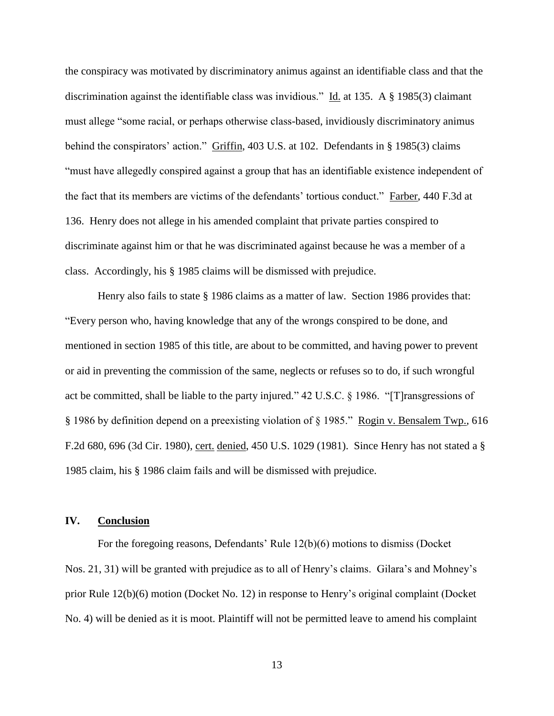the conspiracy was motivated by discriminatory animus against an identifiable class and that the discrimination against the identifiable class was invidious." Id. at 135. A § 1985(3) claimant must allege "some racial, or perhaps otherwise class-based, invidiously discriminatory animus behind the conspirators' action." Griffin, 403 U.S. at 102. Defendants in § 1985(3) claims "must have allegedly conspired against a group that has an identifiable existence independent of the fact that its members are victims of the defendants' tortious conduct." Farber, 440 F.3d at 136. Henry does not allege in his amended complaint that private parties conspired to discriminate against him or that he was discriminated against because he was a member of a class. Accordingly, his § 1985 claims will be dismissed with prejudice.

Henry also fails to state § 1986 claims as a matter of law. Section 1986 provides that: "Every person who, having knowledge that any of the wrongs conspired to be done, and mentioned in section 1985 of this title, are about to be committed, and having power to prevent or aid in preventing the commission of the same, neglects or refuses so to do, if such wrongful act be committed, shall be liable to the party injured." 42 U.S.C. § 1986. "[T]ransgressions of § 1986 by definition depend on a preexisting violation of § 1985." Rogin v. Bensalem Twp., 616 F.2d 680, 696 (3d Cir. 1980), cert. denied, 450 U.S. 1029 (1981). Since Henry has not stated a § 1985 claim, his § 1986 claim fails and will be dismissed with prejudice.

### **IV. Conclusion**

For the foregoing reasons, Defendants' Rule 12(b)(6) motions to dismiss (Docket Nos. 21, 31) will be granted with prejudice as to all of Henry's claims. Gilara's and Mohney's prior Rule 12(b)(6) motion (Docket No. 12) in response to Henry's original complaint (Docket No. 4) will be denied as it is moot. Plaintiff will not be permitted leave to amend his complaint

13